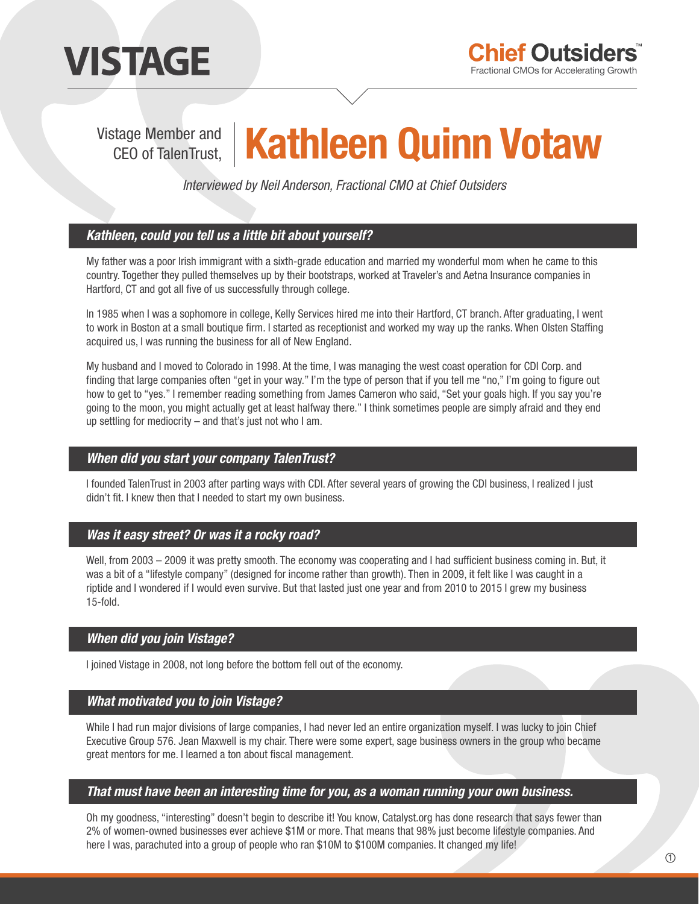

# Vistage Member and **Kathleen Quinn Votaw**

*Interviewed by Neil Anderson, Fractional CMO at Chief Outsiders*

# *Kathleen, could you tell us a little bit about yourself?*

My father was a poor Irish immigrant with a sixth-grade education and married my wonderful mom when he came to this country. Together they pulled themselves up by their bootstraps, worked at Traveler's and Aetna Insurance companies in Hartford, CT and got all five of us successfully through college.

In 1985 when I was a sophomore in college, Kelly Services hired me into their Hartford, CT branch. After graduating, I went to work in Boston at a small boutique firm. I started as receptionist and worked my way up the ranks. When Olsten Staffing acquired us, I was running the business for all of New England.

My husband and I moved to Colorado in 1998. At the time, I was managing the west coast operation for CDI Corp. and finding that large companies often "get in your way." I'm the type of person that if you tell me "no," I'm going to figure out how to get to "yes." I remember reading something from James Cameron who said, "Set your goals high. If you say you're going to the moon, you might actually get at least halfway there." I think sometimes people are simply afraid and they end up settling for mediocrity – and that's just not who I am.

#### *When did you start your company TalenTrust?*

I founded TalenTrust in 2003 after parting ways with CDI. After several years of growing the CDI business, I realized I just didn't fit. I knew then that I needed to start my own business.

#### *Was it easy street? Or was it a rocky road?*

Well, from 2003  $-$  2009 it was pretty smooth. The economy was cooperating and I had sufficient business coming in. But, it was a bit of a "lifestyle company" (designed for income rather than growth). Then in 2009, it felt like I was caught in a riptide and I wondered if I would even survive. But that lasted just one year and from 2010 to 2015 I grew my business 15-fold.

# *When did you join Vistage?*

I joined Vistage in 2008, not long before the bottom fell out of the economy.

#### *What motivated you to join Vistage?*

While I had run major divisions of large companies, I had never led an entire organization myself. I was lucky to join Chief Executive Group 576. Jean Maxwell is my chair. There were some expert, sage business owners in the group who became great mentors for me. I learned a ton about fiscal management.

#### *That must have been an interesting time for you, as a woman running your own business.*

Oh my goodness, "interesting" doesn't begin to describe it! You know, Catalyst.org has done research that says fewer than 2% of women-owned businesses ever achieve \$1M or more. That means that 98% just become lifestyle companies. And here I was, parachuted into a group of people who ran \$10M to \$100M companies. It changed my life!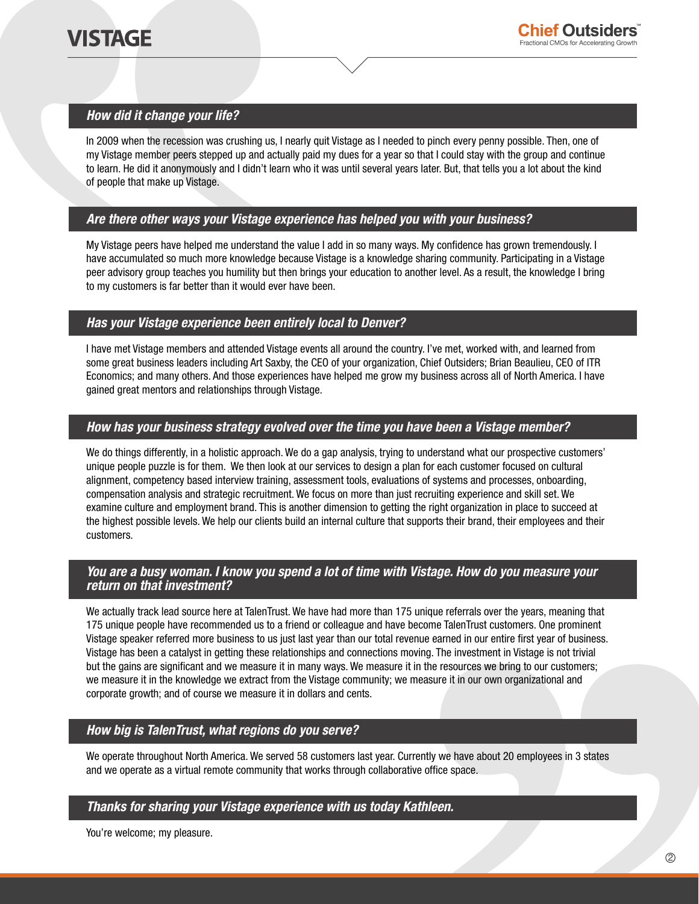# *How did it change your life?*

In 2009 when the recession was crushing us, I nearly quit Vistage as I needed to pinch every penny possible. Then, one of my Vistage member peers stepped up and actually paid my dues for a year so that I could stay with the group and continue to learn. He did it anonymously and I didn't learn who it was until several years later. But, that tells you a lot about the kind of people that make up Vistage.

# *Are there other ways your Vistage experience has helped you with your business?*

My Vistage peers have helped me understand the value I add in so many ways. My confidence has grown tremendously. I have accumulated so much more knowledge because Vistage is a knowledge sharing community. Participating in a Vistage peer advisory group teaches you humility but then brings your education to another level. As a result, the knowledge I bring to my customers is far better than it would ever have been.

# *Has your Vistage experience been entirely local to Denver?*

I have met Vistage members and attended Vistage events all around the country. I've met, worked with, and learned from some great business leaders including Art Saxby, the CEO of your organization, Chief Outsiders; Brian Beaulieu, CEO of ITR Economics; and many others. And those experiences have helped me grow my business across all of North America. I have gained great mentors and relationships through Vistage.

# *How has your business strategy evolved over the time you have been a Vistage member?*

We do things differently, in a holistic approach. We do a gap analysis, trying to understand what our prospective customers' unique people puzzle is for them. We then look at our services to design a plan for each customer focused on cultural alignment, competency based interview training, assessment tools, evaluations of systems and processes, onboarding, compensation analysis and strategic recruitment. We focus on more than just recruiting experience and skill set. We examine culture and employment brand. This is another dimension to getting the right organization in place to succeed at the highest possible levels. We help our clients build an internal culture that supports their brand, their employees and their customers.

#### *You are a busy woman. I know you spend a lot of time with Vistage. How do you measure your return on that investment?*

We actually track lead source here at TalenTrust. We have had more than 175 unique referrals over the years, meaning that 175 unique people have recommended us to a friend or colleague and have become TalenTrust customers. One prominent Vistage speaker referred more business to us just last year than our total revenue earned in our entire first year of business. Vistage has been a catalyst in getting these relationships and connections moving. The investment in Vistage is not trivial but the gains are significant and we measure it in many ways. We measure it in the resources we bring to our customers; we measure it in the knowledge we extract from the Vistage community; we measure it in our own organizational and corporate growth; and of course we measure it in dollars and cents.

# *How big is TalenTrust, what regions do you serve?*

We operate throughout North America. We served 58 customers last year. Currently we have about 20 employees in 3 states and we operate as a virtual remote community that works through collaborative office space.

#### *Thanks for sharing your Vistage experience with us today Kathleen.*

You're welcome; my pleasure.